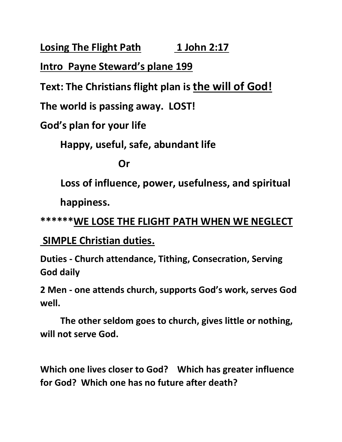**Losing The Flight Path 1 John 2:17** 

**Intro Payne Steward's plane 199**

**Text: The Christians flight plan is the will of God!**

**The world is passing away. LOST!**

**God's plan for your life**

**Happy, useful, safe, abundant life**

*<u>Drama*</u>

 **Loss of influence, power, usefulness, and spiritual happiness.**

**\*\*\*\*\*\*WE LOSE THE FLIGHT PATH WHEN WE NEGLECT**

**SIMPLE Christian duties.**

**Duties - Church attendance, Tithing, Consecration, Serving God daily**

**2 Men - one attends church, supports God's work, serves God well.**

**The other seldom goes to church, gives little or nothing, will not serve God.**

**Which one lives closer to God? Which has greater influence for God? Which one has no future after death?**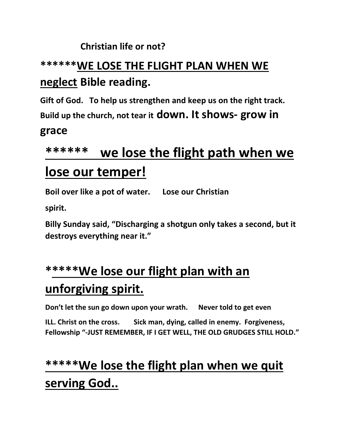#### **Christian life or not?**

### **\*\*\*\*\*\*WE LOSE THE FLIGHT PLAN WHEN WE neglect Bible reading.**

**Gift of God. To help us strengthen and keep us on the right track.** 

**Build up the church, not tear it down. It shows- grow in** 

#### **grace**

# **\*\*\*\*\*\* we lose the flight path when we lose our temper!**

**Boil over like a pot of water. Lose our Christian** 

**spirit.**

**Billy Sunday said, "Discharging a shotgun only takes a second, but it destroys everything near it."**

## **\*\*\*\*\*We lose our flight plan with an unforgiving spirit.**

**Don't let the sun go down upon your wrath. Never told to get even**

**ILL. Christ on the cross. Sick man, dying, called in enemy. Forgiveness, Fellowship "-JUST REMEMBER, IF I GET WELL, THE OLD GRUDGES STILL HOLD."**

## **\*\*\*\*\*We lose the flight plan when we quit serving God..**